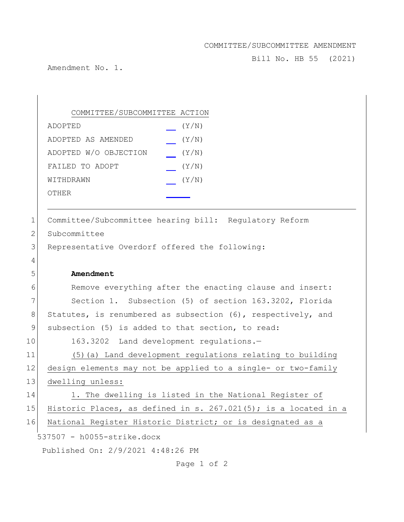## COMMITTEE/SUBCOMMITTEE AMENDMENT

Bill No. HB 55 (2021)

Amendment No. 1.

|                | COMMITTEE/SUBCOMMITTEE ACTION                                      |
|----------------|--------------------------------------------------------------------|
|                | (Y/N)<br>ADOPTED                                                   |
|                | (Y/N)<br>ADOPTED AS AMENDED                                        |
|                | ADOPTED W/O OBJECTION<br>(Y/N)                                     |
|                | FAILED TO ADOPT<br>(Y/N)                                           |
|                | (Y/N)<br>WITHDRAWN                                                 |
|                | <b>OTHER</b>                                                       |
|                |                                                                    |
| $\mathbf 1$    | Committee/Subcommittee hearing bill: Regulatory Reform             |
| $\overline{2}$ | Subcommittee                                                       |
| 3              | Representative Overdorf offered the following:                     |
| 4              |                                                                    |
| 5              | Amendment                                                          |
| 6              | Remove everything after the enacting clause and insert:            |
|                | Section 1. Subsection (5) of section 163.3202, Florida             |
| 7              |                                                                    |
| $8\,$          | Statutes, is renumbered as subsection (6), respectively, and       |
| $\mathcal{G}$  | subsection (5) is added to that section, to read:                  |
|                | 163.3202 Land development regulations.-                            |
| 10<br>11       | (5) (a) Land development regulations relating to building          |
| 12             | design elements may not be applied to a single- or two-family      |
|                | dwelling unless:                                                   |
| 13<br>14       | 1. The dwelling is listed in the National Register of              |
| 15             | Historic Places, as defined in s. $267.021(5)$ ; is a located in a |
| 16             | National Register Historic District; or is designated as a         |
|                | 537507 - h0055-strike.docx                                         |

Page 1 of 2